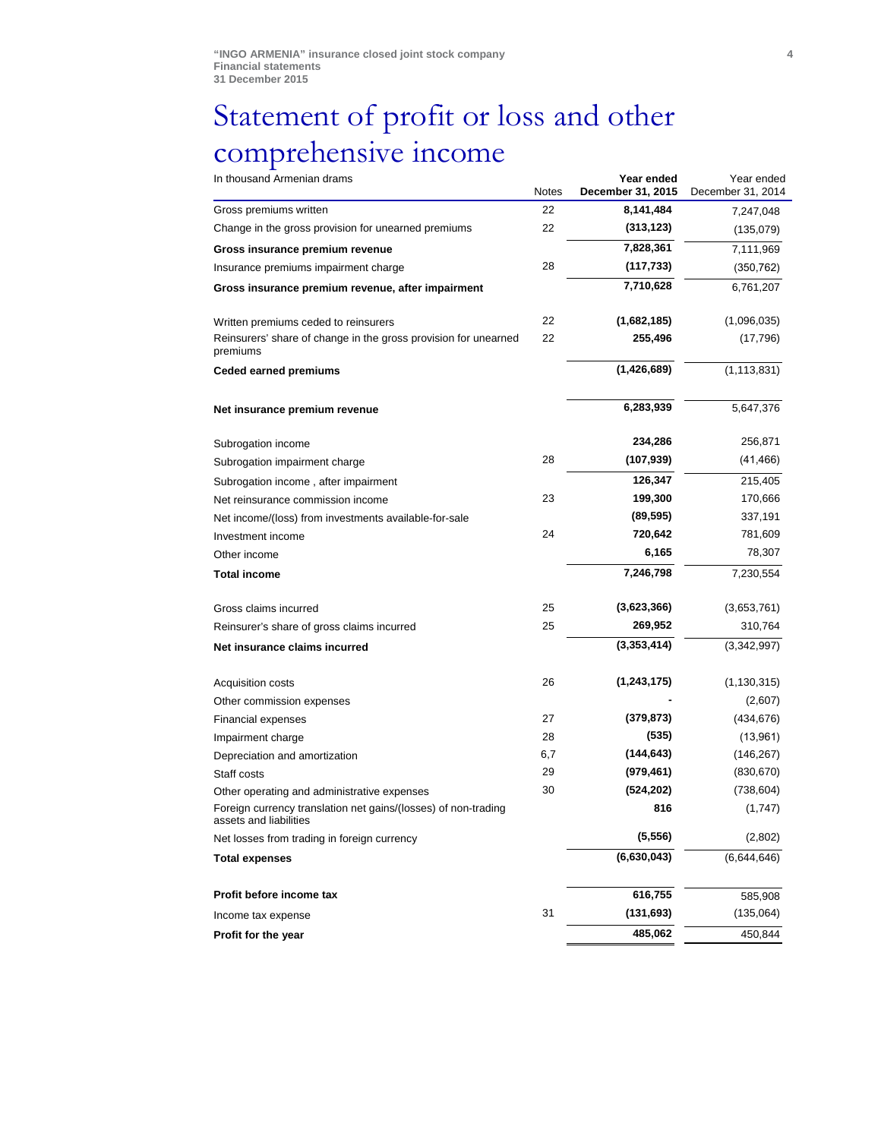## Statement of profit or loss and other comprehensive income

| In thousand Armenian drams                                                               | <b>Notes</b> | Year ended<br>December 31, 2015 | Year ended<br>December 31, 2014 |
|------------------------------------------------------------------------------------------|--------------|---------------------------------|---------------------------------|
| Gross premiums written                                                                   | 22           | 8,141,484                       | 7,247,048                       |
| Change in the gross provision for unearned premiums                                      | 22           | (313, 123)                      | (135,079)                       |
| Gross insurance premium revenue                                                          |              | 7,828,361                       | 7,111,969                       |
| Insurance premiums impairment charge                                                     | 28           | (117, 733)                      | (350, 762)                      |
| Gross insurance premium revenue, after impairment                                        |              | 7,710,628                       | 6,761,207                       |
| Written premiums ceded to reinsurers                                                     | 22           | (1,682,185)                     | (1,096,035)                     |
| Reinsurers' share of change in the gross provision for unearned<br>premiums              | 22           | 255,496                         | (17,796)                        |
| <b>Ceded earned premiums</b>                                                             |              | (1,426,689)                     | (1, 113, 831)                   |
| Net insurance premium revenue                                                            |              | 6,283,939                       | 5,647,376                       |
| Subrogation income                                                                       |              | 234,286                         | 256,871                         |
| Subrogation impairment charge                                                            | 28           | (107, 939)                      | (41, 466)                       |
| Subrogation income, after impairment                                                     |              | 126,347                         | 215,405                         |
| Net reinsurance commission income                                                        | 23           | 199,300                         | 170,666                         |
| Net income/(loss) from investments available-for-sale                                    |              | (89, 595)                       | 337,191                         |
| Investment income                                                                        | 24           | 720,642                         | 781,609                         |
| Other income                                                                             |              | 6,165                           | 78,307                          |
| <b>Total income</b>                                                                      |              | 7,246,798                       | 7,230,554                       |
| Gross claims incurred                                                                    | 25           | (3,623,366)                     | (3,653,761)                     |
| Reinsurer's share of gross claims incurred                                               | 25           | 269,952                         | 310,764                         |
| Net insurance claims incurred                                                            |              | (3,353,414)                     | (3,342,997)                     |
| Acquisition costs                                                                        | 26           | (1, 243, 175)                   | (1, 130, 315)                   |
| Other commission expenses                                                                |              |                                 | (2,607)                         |
| <b>Financial expenses</b>                                                                | 27           | (379, 873)                      | (434, 676)                      |
| Impairment charge                                                                        | 28           | (535)                           | (13,961)                        |
| Depreciation and amortization                                                            | 6,7          | (144, 643)                      | (146, 267)                      |
| Staff costs                                                                              | 29           | (979, 461)                      | (830, 670)                      |
| Other operating and administrative expenses                                              | 30           | (524, 202)                      | (738, 604)                      |
| Foreign currency translation net gains/(losses) of non-trading<br>assets and liabilities |              | 816                             | (1,747)                         |
| Net losses from trading in foreign currency                                              |              | (5, 556)                        | (2,802)                         |
| <b>Total expenses</b>                                                                    |              | (6,630,043)                     | (6,644,646)                     |
| Profit before income tax                                                                 |              | 616,755                         | 585,908                         |
| Income tax expense                                                                       | 31           | (131, 693)                      | (135,064)                       |
| Profit for the year                                                                      |              | 485,062                         | 450,844                         |